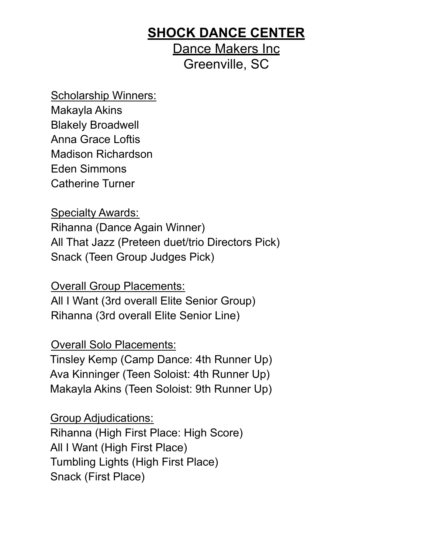## **SHOCK DANCE CENTER**

Dance Makers Inc Greenville, SC

Scholarship Winners: Makayla Akins Blakely Broadwell Anna Grace Loftis Madison Richardson Eden Simmons Catherine Turner

Specialty Awards:

Rihanna (Dance Again Winner) All That Jazz (Preteen duet/trio Directors Pick) Snack (Teen Group Judges Pick)

Overall Group Placements: All I Want (3rd overall Elite Senior Group) Rihanna (3rd overall Elite Senior Line)

Overall Solo Placements:

Tinsley Kemp (Camp Dance: 4th Runner Up) Ava Kinninger (Teen Soloist: 4th Runner Up) Makayla Akins (Teen Soloist: 9th Runner Up)

Group Adjudications: Rihanna (High First Place: High Score) All I Want (High First Place) Tumbling Lights (High First Place) Snack (First Place)